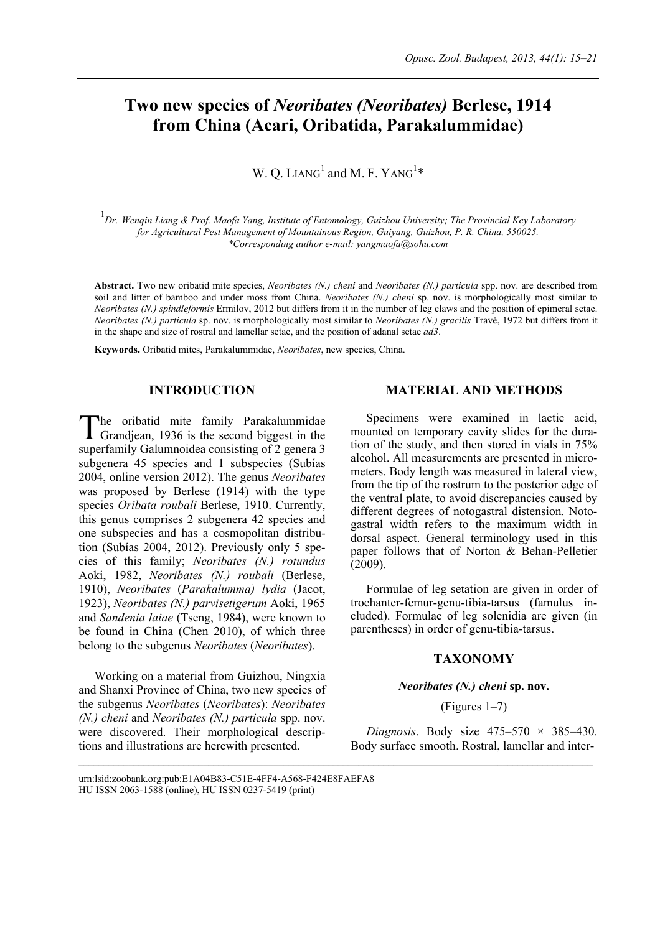# **Two new species of** *Neoribates (Neoribates)* **Berlese, 1914 from China (Acari, Oribatida, Parakalummidae)**

W. Q. LIANG<sup>1</sup> and M. F. YANG<sup>1\*</sup>

1 *Dr. Wenqin Liang & Prof. Maofa Yang, Institute of Entomology, Guizhou University; The Provincial Key Laboratory for Agricultural Pest Management of Mountainous Region, Guiyang, Guizhou, P. R. China, 550025. \*Corresponding author e-mail: yangmaofa@sohu.com* 

**Abstract.** Two new oribatid mite species, *Neoribates (N.) cheni* and *Neoribates (N.) particula* spp. nov. are described from soil and litter of bamboo and under moss from China. *Neoribates (N.) cheni* sp. nov. is morphologically most similar to *Neoribates (N.) spindleformis* Ermilov, 2012 but differs from it in the number of leg claws and the position of epimeral setae. *Neoribates (N.) particula* sp. nov. is morphologically most similar to *Neoribates (N.) gracilis* Travé, 1972 but differs from it in the shape and size of rostral and lamellar setae, and the position of adanal setae *ad3*.

 $\mathcal{L}_\text{max}$ 

**Keywords.** Oribatid mites, Parakalummidae, *Neoribates*, new species, China.

# **INTRODUCTION**

he oribatid mite family Parakalummidae The oribatid mite family Parakalummidae<br>Grandjean, 1936 is the second biggest in the superfamily Galumnoidea consisting of 2 genera 3 subgenera 45 species and 1 subspecies (Subías 2004, online version 2012). The genus *Neoribates* was proposed by Berlese (1914) with the type species *Oribata roubali* Berlese, 1910. Currently, this genus comprises 2 subgenera 42 species and one subspecies and has a cosmopolitan distribution (Subías 2004, 2012). Previously only 5 species of this family; *Neoribates (N.) rotundus* Aoki, 1982, *Neoribates (N.) roubali* (Berlese, 1910), *Neoribates* (*Parakalumma) lydia* (Jacot, 1923), *Neoribates (N.) parvisetigerum* Aoki, 1965 and *Sandenia laiae* (Tseng, 1984), were known to be found in China (Chen 2010), of which three belong to the subgenus *Neoribates* (*Neoribates*).

Working on a material from Guizhou, Ningxia and Shanxi Province of China, two new species of the subgenus *Neoribates* (*Neoribates*): *Neoribates (N.) cheni* and *Neoribates (N.) particula* spp. nov. were discovered. Their morphological descriptions and illustrations are herewith presented.

#### **MATERIAL AND METHODS**

Specimens were examined in lactic acid, mounted on temporary cavity slides for the duration of the study, and then stored in vials in 75% alcohol. All measurements are presented in micrometers. Body length was measured in lateral view, from the tip of the rostrum to the posterior edge of the ventral plate, to avoid discrepancies caused by different degrees of notogastral distension. Notogastral width refers to the maximum width in dorsal aspect. General terminology used in this paper follows that of Norton & Behan-Pelletier (2009).

Formulae of leg setation are given in order of trochanter-femur-genu-tibia-tarsus (famulus included). Formulae of leg solenidia are given (in parentheses) in order of genu-tibia-tarsus.

## **TAXONOMY**

## *Neoribates (N.) cheni* **sp. nov.**

#### (Figures 1–7)

*Diagnosis*. Body size 475–570 × 385–430. Body surface smooth. Rostral, lamellar and inter-

urn:lsid:zoobank.org:pub:E1A04B83-C51E-4FF4-A568-F424E8FAEFA8 HU ISSN 2063-1588 (online), HU ISSN 0237-5419 (print)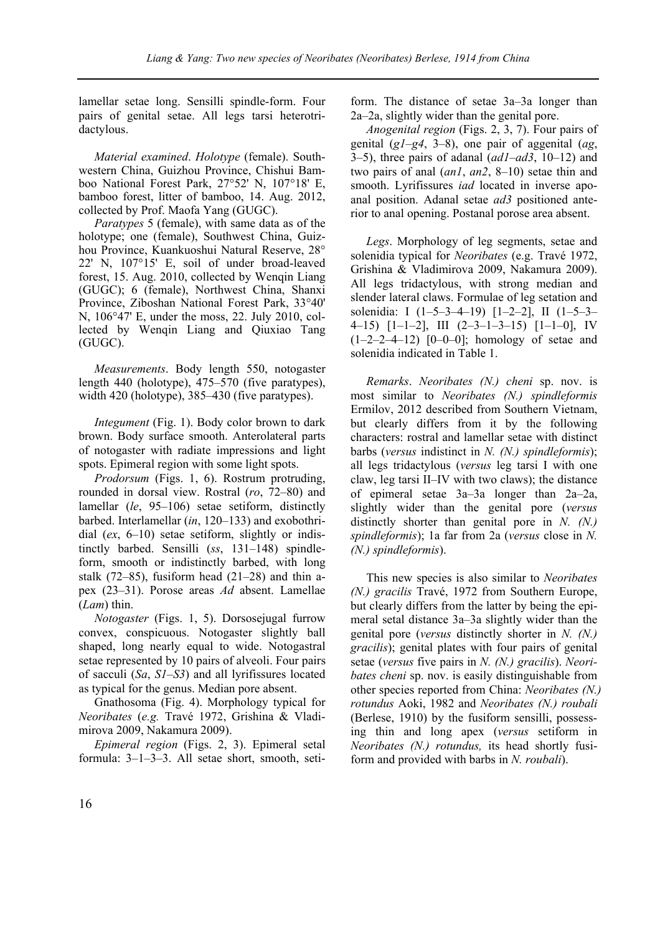lamellar setae long. Sensilli spindle-form. Four pairs of genital setae. All legs tarsi heterotridactylous.

*Material examined*. *Holotype* (female). Southwestern China, Guizhou Province, Chishui Bamboo National Forest Park, 27°52' N, 107°18' E, bamboo forest, litter of bamboo, 14. Aug. 2012, collected by Prof. Maofa Yang (GUGC).

*Paratypes* 5 (female), with same data as of the holotype; one (female), Southwest China, Guizhou Province, Kuankuoshui Natural Reserve, 28° 22' N, 107°15' E, soil of under broad-leaved forest, 15. Aug. 2010, collected by Wenqin Liang (GUGC); 6 (female), Northwest China, Shanxi Province, Ziboshan National Forest Park, 33°40' N, 106°47' E, under the moss, 22. July 2010, collected by Wenqin Liang and Qiuxiao Tang (GUGC).

*Measurements*. Body length 550, notogaster length 440 (holotype), 475–570 (five paratypes), width 420 (holotype), 385–430 (five paratypes).

*Integument* (Fig. 1). Body color brown to dark brown. Body surface smooth. Anterolateral parts of notogaster with radiate impressions and light spots. Epimeral region with some light spots.

*Prodorsum* (Figs. 1, 6). Rostrum protruding, rounded in dorsal view. Rostral (*ro*, 72–80) and lamellar (*le*, 95–106) setae setiform, distinctly barbed. Interlamellar (*in*, 120–133) and exobothridial (*ex*, 6–10) setae setiform, slightly or indistinctly barbed. Sensilli (*ss*, 131–148) spindleform, smooth or indistinctly barbed, with long stalk  $(72-85)$ , fusiform head  $(21-28)$  and thin apex (23–31). Porose areas *Ad* absent. Lamellae (*Lam*) thin.

*Notogaster* (Figs. 1, 5). Dorsosejugal furrow convex, conspicuous. Notogaster slightly ball shaped, long nearly equal to wide. Notogastral setae represented by 10 pairs of alveoli. Four pairs of sacculi (*Sa*, *S1*–*S3*) and all lyrifissures located as typical for the genus. Median pore absent.

Gnathosoma (Fig. 4). Morphology typical for *Neoribates* (*e.g.* Travé 1972, Grishina & Vladimirova 2009, Nakamura 2009).

*Epimeral region* (Figs. 2, 3). Epimeral setal formula: 3–1–3–3. All setae short, smooth, setiform. The distance of setae 3a–3a longer than 2a–2a, slightly wider than the genital pore.

*Anogenital region* (Figs. 2, 3, 7). Four pairs of genital (*g1*–*g4*, 3–8), one pair of aggenital (*ag*, 3–5), three pairs of adanal (*ad1*–*ad3*, 10–12) and two pairs of anal (*an1*, *an2*, 8–10) setae thin and smooth. Lyrifissures *iad* located in inverse apoanal position. Adanal setae *ad3* positioned anterior to anal opening. Postanal porose area absent.

*Legs*. Morphology of leg segments, setae and solenidia typical for *Neoribates* (e.g. Travé 1972, Grishina & Vladimirova 2009, Nakamura 2009). All legs tridactylous, with strong median and slender lateral claws. Formulae of leg setation and solenidia: I (1–5–3–4–19) [1–2–2], II (1–5–3– 4–15) [1–1–2], III (2–3–1–3–15) [1–1–0], IV  $(1-2-2-4-12)$   $[0-0-0]$ ; homology of setae and solenidia indicated in Table 1.

*Remarks*. *Neoribates (N.) cheni* sp. nov. is most similar to *Neoribates (N.) spindleformis* Ermilov, 2012 described from Southern Vietnam, but clearly differs from it by the following characters: rostral and lamellar setae with distinct barbs (*versus* indistinct in *N. (N.) spindleformis*); all legs tridactylous (*versus* leg tarsi I with one claw, leg tarsi II–IV with two claws); the distance of epimeral setae 3a–3a longer than 2a–2a, slightly wider than the genital pore (*versus* distinctly shorter than genital pore in *N. (N.) spindleformis*); 1a far from 2a (*versus* close in *N. (N.) spindleformis*).

This new species is also similar to *Neoribates (N.) gracilis* Travé, 1972 from Southern Europe, but clearly differs from the latter by being the epimeral setal distance 3a–3a slightly wider than the genital pore (*versus* distinctly shorter in *N. (N.) gracilis*); genital plates with four pairs of genital setae (*versus* five pairs in *N. (N.) gracilis*). *Neoribates cheni* sp. nov. is easily distinguishable from other species reported from China: *Neoribates (N.) rotundus* Aoki, 1982 and *Neoribates (N.) roubali*  (Berlese, 1910) by the fusiform sensilli, possessing thin and long apex (*versus* setiform in *Neoribates (N.) rotundus,* its head shortly fusiform and provided with barbs in *N. roubali*).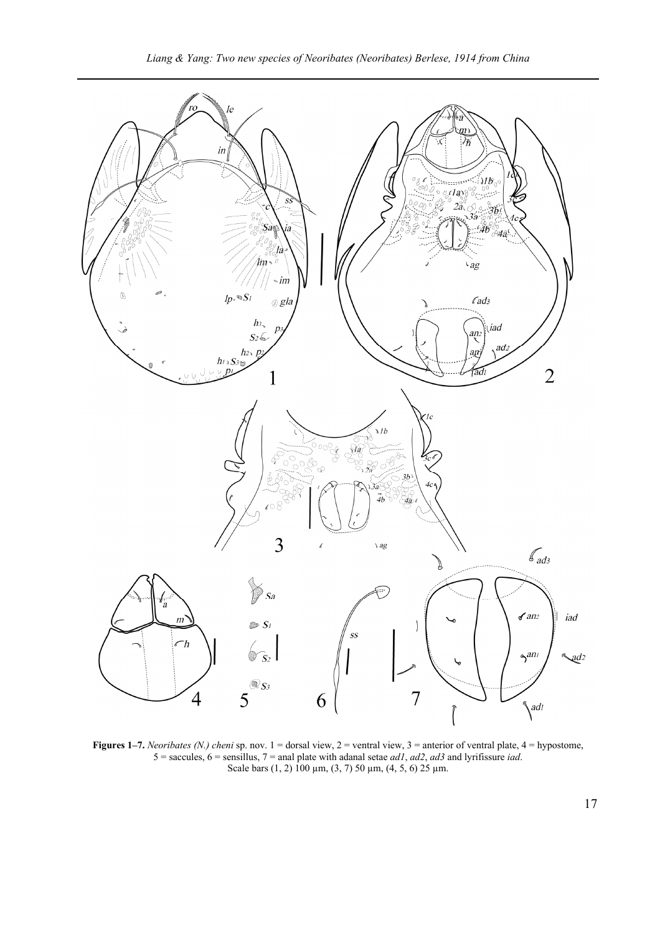

**Figures 1–7.** *Neoribates (N.) cheni* sp. nov. 1 = dorsal view, 2 = ventral view, 3 = anterior of ventral plate, 4 = hypostome, 5 = saccules, 6 = sensillus, 7 = anal plate with adanal setae *ad1*, *ad2*, *ad3* and lyrifissure *iad*. Scale bars (1, 2) 100  $\mu$ m, (3, 7) 50  $\mu$ m, (4, 5, 6) 25  $\mu$ m.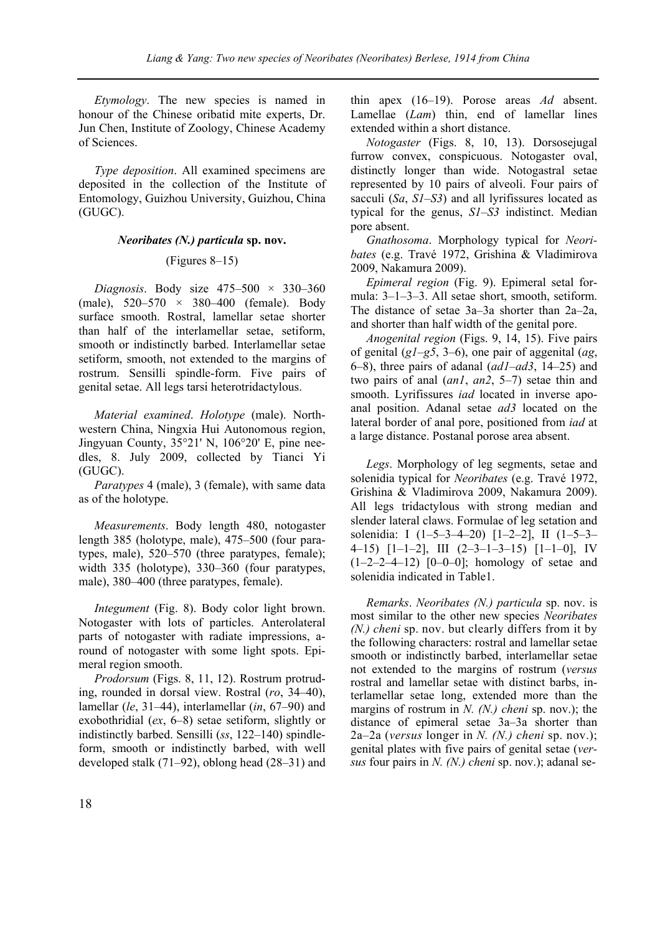*Etymology*. The new species is named in honour of the Chinese oribatid mite experts, Dr. Jun Chen, Institute of Zoology, Chinese Academy of Sciences.

*Type deposition*. All examined specimens are deposited in the collection of the Institute of Entomology, Guizhou University, Guizhou, China (GUGC).

# *Neoribates (N.) particula* **sp. nov.**

## (Figures 8–15)

*Diagnosis*. Body size  $475-500 \times 330-360$ (male),  $520 - 570 \times 380 - 400$  (female). Body surface smooth. Rostral, lamellar setae shorter than half of the interlamellar setae, setiform, smooth or indistinctly barbed. Interlamellar setae setiform, smooth, not extended to the margins of rostrum. Sensilli spindle-form. Five pairs of genital setae. All legs tarsi heterotridactylous.

*Material examined*. *Holotype* (male). Northwestern China, Ningxia Hui Autonomous region, Jingyuan County, 35°21' N, 106°20' E, pine needles, 8. July 2009, collected by Tianci Yi (GUGC).

*Paratypes* 4 (male), 3 (female), with same data as of the holotype.

*Measurements*. Body length 480, notogaster length 385 (holotype, male), 475–500 (four paratypes, male), 520–570 (three paratypes, female); width 335 (holotype), 330–360 (four paratypes, male), 380–400 (three paratypes, female).

*Integument* (Fig. 8). Body color light brown. Notogaster with lots of particles. Anterolateral parts of notogaster with radiate impressions, around of notogaster with some light spots. Epimeral region smooth.

*Prodorsum* (Figs. 8, 11, 12). Rostrum protruding, rounded in dorsal view. Rostral (*ro*, 34–40), lamellar (*le*, 31–44), interlamellar (*in*, 67–90) and exobothridial (*ex*, 6–8) setae setiform, slightly or indistinctly barbed. Sensilli (*ss*, 122–140) spindleform, smooth or indistinctly barbed, with well developed stalk (71–92), oblong head (28–31) and thin apex (16–19). Porose areas *Ad* absent. Lamellae (*Lam*) thin, end of lamellar lines extended within a short distance.

*Notogaster* (Figs. 8, 10, 13). Dorsosejugal furrow convex, conspicuous. Notogaster oval, distinctly longer than wide. Notogastral setae represented by 10 pairs of alveoli. Four pairs of sacculi (*Sa*, *S1*–*S3*) and all lyrifissures located as typical for the genus, *S1*–*S3* indistinct. Median pore absent.

*Gnathosoma*. Morphology typical for *Neoribates* (e.g. Travé 1972, Grishina & Vladimirova 2009, Nakamura 2009).

*Epimeral region* (Fig. 9). Epimeral setal formula: 3–1–3–3. All setae short, smooth, setiform. The distance of setae 3a–3a shorter than 2a–2a, and shorter than half width of the genital pore.

*Anogenital region* (Figs. 9, 14, 15). Five pairs of genital (*g1*–*g5*, 3–6), one pair of aggenital (*ag*, 6–8), three pairs of adanal (*ad1*–*ad3*, 14–25) and two pairs of anal (*an1*, *an2*, 5–7) setae thin and smooth. Lyrifissures *iad* located in inverse apoanal position. Adanal setae *ad3* located on the lateral border of anal pore, positioned from *iad* at a large distance. Postanal porose area absent.

*Legs*. Morphology of leg segments, setae and solenidia typical for *Neoribates* (e.g. Travé 1972, Grishina & Vladimirova 2009, Nakamura 2009). All legs tridactylous with strong median and slender lateral claws. Formulae of leg setation and solenidia: I (1–5–3–4–20) [1–2–2], II (1–5–3– 4–15) [1–1–2], III (2–3–1–3–15) [1–1–0], IV  $(1-2-2-4-12)$   $[0-0-0]$ ; homology of setae and solenidia indicated in Table1.

*Remarks*. *Neoribates (N.) particula* sp. nov. is most similar to the other new species *Neoribates (N.) cheni* sp. nov. but clearly differs from it by the following characters: rostral and lamellar setae smooth or indistinctly barbed, interlamellar setae not extended to the margins of rostrum (*versus* rostral and lamellar setae with distinct barbs, interlamellar setae long, extended more than the margins of rostrum in *N. (N.) cheni* sp. nov.); the distance of epimeral setae 3a–3a shorter than 2a–2a (*versus* longer in *N. (N.) cheni* sp. nov.); genital plates with five pairs of genital setae (*versus* four pairs in *N. (N.) cheni* sp. nov.); adanal se-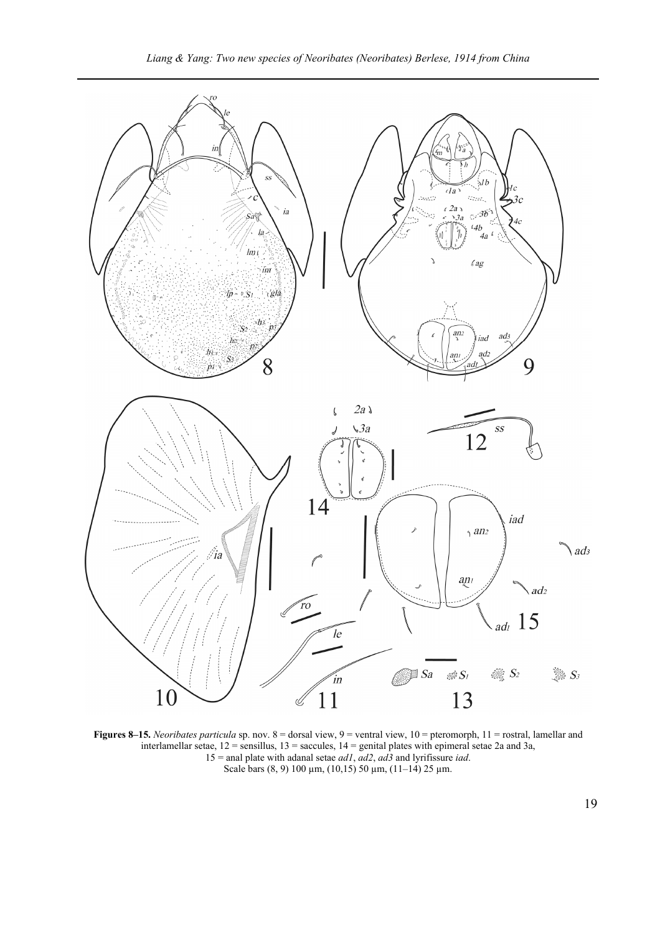

**Figures 8–15.** *Neoribates particula* sp. nov. 8 = dorsal view, 9 = ventral view, 10 = pteromorph, 11 = rostral, lamellar and interlamellar setae,  $12$  = sensillus,  $13$  = saccules,  $14$  = genital plates with epimeral setae 2a and 3a, 15 = anal plate with adanal setae *ad1*, *ad2*, *ad3* and lyrifissure *iad*. Scale bars (8, 9) 100  $\mu$ m, (10,15) 50  $\mu$ m, (11–14) 25  $\mu$ m.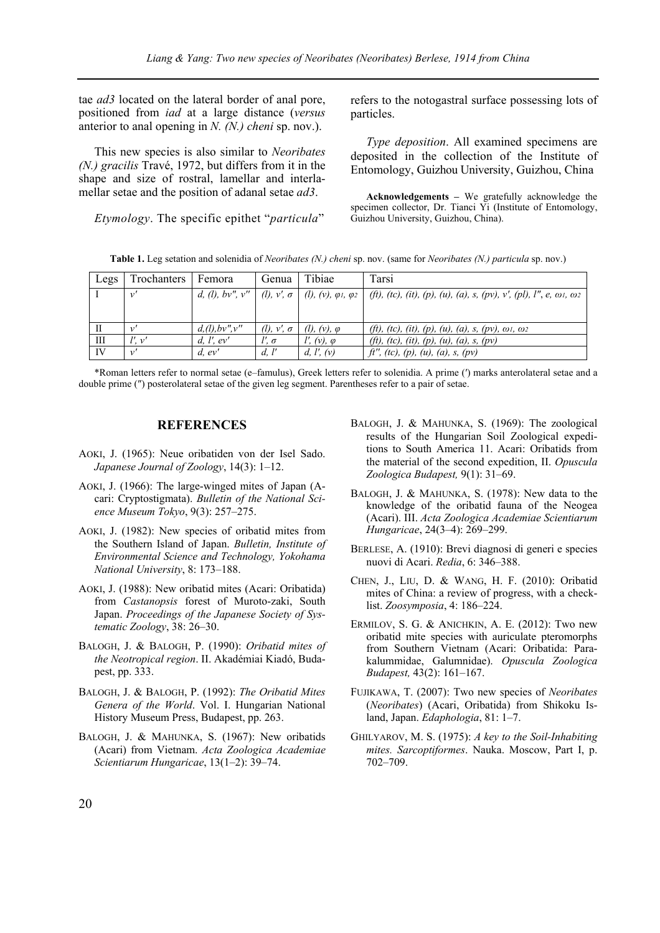tae *ad3* located on the lateral border of anal pore, positioned from *iad* at a large distance (*versus* anterior to anal opening in *N. (N.) cheni* sp. nov.).

This new species is also similar to *Neoribates (N.) gracilis* Travé, 1972, but differs from it in the shape and size of rostral, lamellar and interlamellar setae and the position of adanal setae *ad3*.

*Etymology*. The specific epithet "*particula*"

refers to the notogastral surface possessing lots of particles.

*Type deposition*. All examined specimens are deposited in the collection of the Institute of Entomology, Guizhou University, Guizhou, China

**Acknowledgements –** We gratefully acknowledge the specimen collector, Dr. Tianci Yi (Institute of Entomology, Guizhou University, Guizhou, China).

**Table 1.** Leg setation and solenidia of *Neoribates (N.) cheni* sp. nov. (same for *Neoribates (N.) particula* sp. nov.)

| Legs         | Trochanters | Femora          | Genua                   | Tibiae                                                                     | Tarsi                                                                              |
|--------------|-------------|-----------------|-------------------------|----------------------------------------------------------------------------|------------------------------------------------------------------------------------|
|              | $\nu'$      |                 |                         | d, (l), bv'', v''   (l), v', $\sigma$   (l), (v), $\varphi$ 1, $\varphi$ 2 | (ft), (tc), (it), (p), (u), (a), s, (pv), v', (pl), l'', e, $\omega$ 1, $\omega$ 2 |
|              |             |                 |                         |                                                                            |                                                                                    |
| $\mathbf{H}$ | $\nu$       | d,(l), bv'',v'' | $(l)$ , $v'$ , $\sigma$ | $(l)$ , $(v)$ , $\varphi$                                                  | (ft), (tc), (it), (p), (u), (a), s, (pv), $\omega$ 1, $\omega$ 2                   |
| Ш            | $l'$ . $v'$ | d, l', ev'      | $l'$ , $\sigma$         | $l'$ , $(v)$ , $\varphi$                                                   | (ft), (tc), (it), (p), (u), (a), s, (pv)                                           |
| IV           | v'          | $d$ , $ev'$     | d, l'                   | d, $l'$ , $(v)$                                                            | ft'', (tc), (p), (u), (a), s, (pv)                                                 |

\*Roman letters refer to normal setae (e–famulus), Greek letters refer to solenidia. A prime (′) marks anterolateral setae and a double prime (″) posterolateral setae of the given leg segment. Parentheses refer to a pair of setae.

#### **REFERENCES**

- AOKI, J. (1965): Neue oribatiden von der Isel Sado. *Japanese Journal of Zoology*, 14(3): 1–12.
- AOKI, J. (1966): The large-winged mites of Japan (Acari: Cryptostigmata). *Bulletin of the National Science Museum Tokyo*, 9(3): 257–275.
- AOKI, J. (1982): New species of oribatid mites from the Southern Island of Japan. *Bulletin, Institute of Environmental Science and Technology, Yokohama National University*, 8: 173–188.
- AOKI, J. (1988): New oribatid mites (Acari: Oribatida) from *Castanopsis* forest of Muroto-zaki, South Japan. *Proceedings of the Japanese Society of Systematic Zoology*, 38: 26–30.
- BALOGH, J. & BALOGH, P. (1990): *Oribatid mites of the Neotropical region*. II. Akadémiai Kiadó, Budapest, pp. 333.
- BALOGH, J. & BALOGH, P. (1992): *The Oribatid Mites Genera of the World*. Vol. I. Hungarian National History Museum Press, Budapest, pp. 263.
- BALOGH, J. & MAHUNKA, S. (1967): New oribatids (Acari) from Vietnam. *Acta Zoologica Academiae Scientiarum Hungaricae*, 13(1–2): 39–74.
- BALOGH, J. & MAHUNKA, S. (1969): The zoological results of the Hungarian Soil Zoological expeditions to South America 11. Acari: Oribatids from the material of the second expedition, II. *Opuscula Zoologica Budapest,* 9(1): 31–69.
- BALOGH, J. & MAHUNKA, S. (1978): New data to the knowledge of the oribatid fauna of the Neogea (Acari). III. *Acta Zoologica Academiae Scientiarum Hungaricae*, 24(3–4): 269–299.
- BERLESE, A. (1910): Brevi diagnosi di generi e species nuovi di Acari. *Redia*, 6: 346–388.
- CHEN, J., LIU, D. & WANG, H. F. (2010): Oribatid mites of China: a review of progress, with a checklist. *Zoosymposia*, 4: 186–224.
- ERMILOV, S. G. & ANICHKIN, A. E. (2012): Two new oribatid mite species with auriculate pteromorphs from Southern Vietnam (Acari: Oribatida: Parakalummidae, Galumnidae). *Opuscula Zoologica Budapest,* 43(2): 161–167.
- FUJIKAWA, T. (2007): Two new species of *Neoribates* (*Neoribates*) (Acari, Oribatida) from Shikoku Island, Japan. *Edaphologia*, 81: 1–7.
- GHILYAROV, M. S. (1975): *A key to the Soil-Inhabiting mites. Sarcoptiformes*. Nauka. Moscow, Part I, p. 702–709.